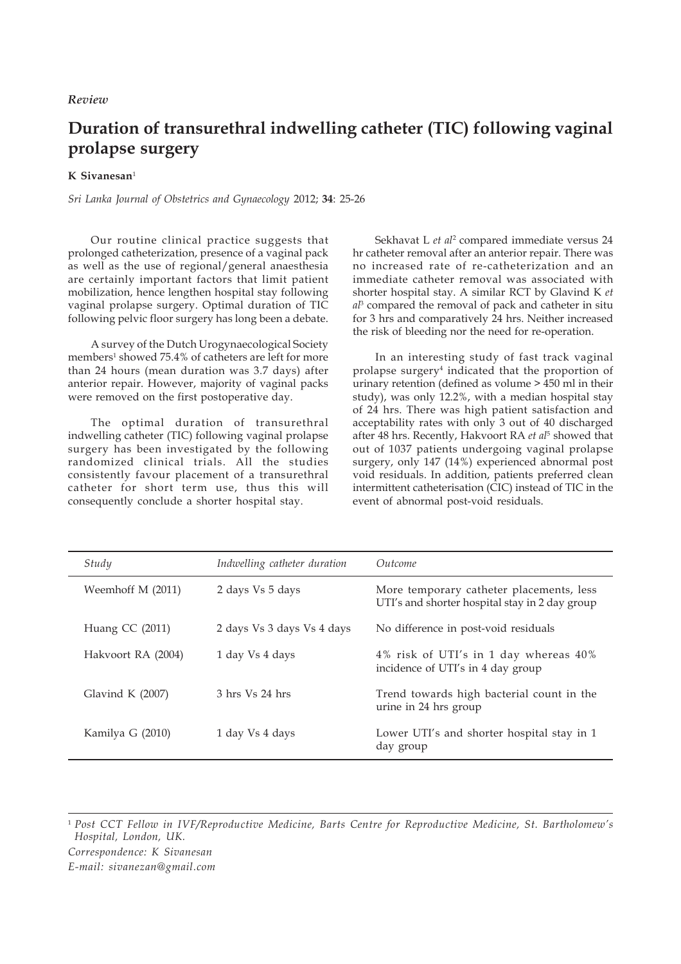## *Review*

## **Duration of transurethral indwelling catheter (TIC) following vaginal prolapse surgery**

## **K Sivanesan**<sup>1</sup>

*Sri Lanka Journal of Obstetrics and Gynaecology* 2012; **34**: 25-26

Our routine clinical practice suggests that prolonged catheterization, presence of a vaginal pack as well as the use of regional/general anaesthesia are certainly important factors that limit patient mobilization, hence lengthen hospital stay following vaginal prolapse surgery. Optimal duration of TIC following pelvic floor surgery has long been a debate.

A survey of the Dutch Urogynaecological Society members<sup>1</sup> showed 75.4% of catheters are left for more than 24 hours (mean duration was 3.7 days) after anterior repair. However, majority of vaginal packs were removed on the first postoperative day.

The optimal duration of transurethral indwelling catheter (TIC) following vaginal prolapse surgery has been investigated by the following randomized clinical trials. All the studies consistently favour placement of a transurethral catheter for short term use, thus this will consequently conclude a shorter hospital stay.

Sekhavat L *et al*<sup>2</sup> compared immediate versus 24 hr catheter removal after an anterior repair. There was no increased rate of re-catheterization and an immediate catheter removal was associated with shorter hospital stay. A similar RCT by Glavind K *et al*3 compared the removal of pack and catheter in situ for 3 hrs and comparatively 24 hrs. Neither increased the risk of bleeding nor the need for re-operation.

In an interesting study of fast track vaginal prolapse surgery4 indicated that the proportion of urinary retention (defined as volume  $> 450$  ml in their study), was only 12.2%, with a median hospital stay of 24 hrs. There was high patient satisfaction and acceptability rates with only 3 out of 40 discharged after 48 hrs. Recently, Hakvoort RA *et al*<sup>5</sup> showed that out of 1037 patients undergoing vaginal prolapse surgery, only 147 (14%) experienced abnormal post void residuals. In addition, patients preferred clean intermittent catheterisation (CIC) instead of TIC in the event of abnormal post-void residuals.

| Study              | Indwelling catheter duration | Outcome                                                                                    |
|--------------------|------------------------------|--------------------------------------------------------------------------------------------|
| Weemhoff M (2011)  | 2 days Vs 5 days             | More temporary catheter placements, less<br>UTI's and shorter hospital stay in 2 day group |
| Huang CC (2011)    | 2 days Vs 3 days Vs 4 days   | No difference in post-void residuals                                                       |
| Hakvoort RA (2004) | 1 day Vs 4 days              | 4% risk of UTI's in 1 day whereas 40%<br>incidence of UTI's in 4 day group                 |
| Glavind K $(2007)$ | 3 hrs Vs 24 hrs              | Trend towards high bacterial count in the<br>urine in 24 hrs group                         |
| Kamilya G (2010)   | 1 day Vs 4 days              | Lower UTI's and shorter hospital stay in 1<br>day group                                    |

<sup>1</sup> *Post CCT Fellow in IVF/Reproductive Medicine, Barts Centre for Reproductive Medicine, St. Bartholomew's Hospital, London, UK.*

*Correspondence: K Sivanesan E-mail: sivanezan@gmail.com*